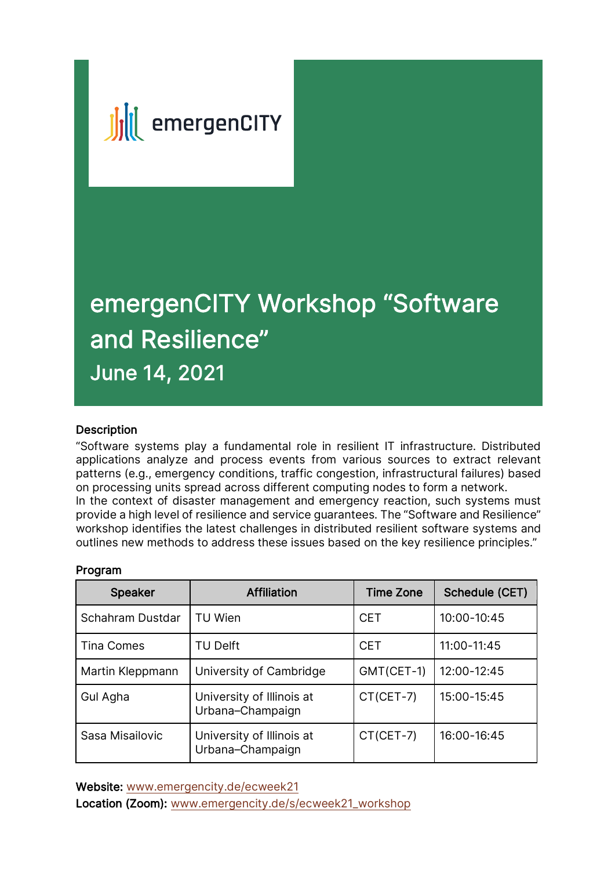

# emergenCITY Workshop "Software and Resilience" June 14, 2021

### **Description**

"Software systems play a fundamental role in resilient IT infrastructure. Distributed applications analyze and process events from various sources to extract relevant patterns (e.g., emergency conditions, traffic congestion, infrastructural failures) based on processing units spread across different computing nodes to form a network. In the context of disaster management and emergency reaction, such systems must provide a high level of resilience and service guarantees. The "Software and Resilience" workshop identifies the latest challenges in distributed resilient software systems and outlines new methods to address these issues based on the key resilience principles."

| <b>Speaker</b>    | <b>Affiliation</b>                            | <b>Time Zone</b> | Schedule (CET) |
|-------------------|-----------------------------------------------|------------------|----------------|
| Schahram Dustdar  | <b>TU Wien</b>                                | <b>CET</b>       | 10:00-10:45    |
| <b>Tina Comes</b> | <b>TU Delft</b>                               | <b>CET</b>       | 11:00-11:45    |
| Martin Kleppmann  | University of Cambridge                       | GMT(CET-1)       | 12:00-12:45    |
| Gul Agha          | University of Illinois at<br>Urbana-Champaign | CT(CET-7)        | 15:00-15:45    |
| Sasa Misailovic   | University of Illinois at<br>Urbana-Champaign | CT(CET-7)        | 16:00-16:45    |

### Program

Website: www.emergencity.de/ecweek21 Location (Zoom): www.emergencity.de/s/ecweek21\_workshop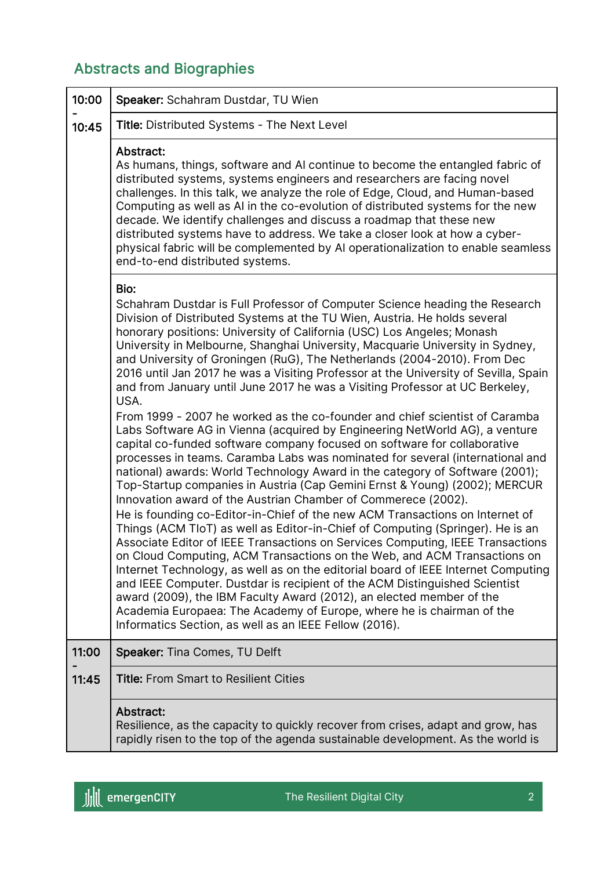## Abstracts and Biographies

| 10:00 | Speaker: Schahram Dustdar, TU Wien                                                                                                                                                                                                                                                                                                                                                                                                                                                                                                                                                                                                                                                                                                                                                                                                                                                                                                                                                                                                                                                                                                                                                                                                                                                                                                                                                                                                                                                                                                                                                                                                                                                                                                                                                                                                                             |
|-------|----------------------------------------------------------------------------------------------------------------------------------------------------------------------------------------------------------------------------------------------------------------------------------------------------------------------------------------------------------------------------------------------------------------------------------------------------------------------------------------------------------------------------------------------------------------------------------------------------------------------------------------------------------------------------------------------------------------------------------------------------------------------------------------------------------------------------------------------------------------------------------------------------------------------------------------------------------------------------------------------------------------------------------------------------------------------------------------------------------------------------------------------------------------------------------------------------------------------------------------------------------------------------------------------------------------------------------------------------------------------------------------------------------------------------------------------------------------------------------------------------------------------------------------------------------------------------------------------------------------------------------------------------------------------------------------------------------------------------------------------------------------------------------------------------------------------------------------------------------------|
| 10:45 | Title: Distributed Systems - The Next Level                                                                                                                                                                                                                                                                                                                                                                                                                                                                                                                                                                                                                                                                                                                                                                                                                                                                                                                                                                                                                                                                                                                                                                                                                                                                                                                                                                                                                                                                                                                                                                                                                                                                                                                                                                                                                    |
|       | Abstract:<br>As humans, things, software and AI continue to become the entangled fabric of<br>distributed systems, systems engineers and researchers are facing novel<br>challenges. In this talk, we analyze the role of Edge, Cloud, and Human-based<br>Computing as well as AI in the co-evolution of distributed systems for the new<br>decade. We identify challenges and discuss a roadmap that these new<br>distributed systems have to address. We take a closer look at how a cyber-<br>physical fabric will be complemented by AI operationalization to enable seamless<br>end-to-end distributed systems.                                                                                                                                                                                                                                                                                                                                                                                                                                                                                                                                                                                                                                                                                                                                                                                                                                                                                                                                                                                                                                                                                                                                                                                                                                           |
|       | Bio:<br>Schahram Dustdar is Full Professor of Computer Science heading the Research<br>Division of Distributed Systems at the TU Wien, Austria. He holds several<br>honorary positions: University of California (USC) Los Angeles; Monash<br>University in Melbourne, Shanghai University, Macquarie University in Sydney,<br>and University of Groningen (RuG), The Netherlands (2004-2010). From Dec<br>2016 until Jan 2017 he was a Visiting Professor at the University of Sevilla, Spain<br>and from January until June 2017 he was a Visiting Professor at UC Berkeley,<br>USA.<br>From 1999 - 2007 he worked as the co-founder and chief scientist of Caramba<br>Labs Software AG in Vienna (acquired by Engineering NetWorld AG), a venture<br>capital co-funded software company focused on software for collaborative<br>processes in teams. Caramba Labs was nominated for several (international and<br>national) awards: World Technology Award in the category of Software (2001);<br>Top-Startup companies in Austria (Cap Gemini Ernst & Young) (2002); MERCUR<br>Innovation award of the Austrian Chamber of Commerece (2002).<br>He is founding co-Editor-in-Chief of the new ACM Transactions on Internet of<br>Things (ACM TIoT) as well as Editor-in-Chief of Computing (Springer). He is an<br>Associate Editor of IEEE Transactions on Services Computing, IEEE Transactions<br>on Cloud Computing, ACM Transactions on the Web, and ACM Transactions on<br>Internet Technology, as well as on the editorial board of IEEE Internet Computing<br>and IEEE Computer. Dustdar is recipient of the ACM Distinguished Scientist<br>award (2009), the IBM Faculty Award (2012), an elected member of the<br>Academia Europaea: The Academy of Europe, where he is chairman of the<br>Informatics Section, as well as an IEEE Fellow (2016). |
| 11:00 | Speaker: Tina Comes, TU Delft                                                                                                                                                                                                                                                                                                                                                                                                                                                                                                                                                                                                                                                                                                                                                                                                                                                                                                                                                                                                                                                                                                                                                                                                                                                                                                                                                                                                                                                                                                                                                                                                                                                                                                                                                                                                                                  |
| 11:45 | <b>Title: From Smart to Resilient Cities</b>                                                                                                                                                                                                                                                                                                                                                                                                                                                                                                                                                                                                                                                                                                                                                                                                                                                                                                                                                                                                                                                                                                                                                                                                                                                                                                                                                                                                                                                                                                                                                                                                                                                                                                                                                                                                                   |
|       | <b>Abstract:</b><br>Resilience, as the capacity to quickly recover from crises, adapt and grow, has<br>rapidly risen to the top of the agenda sustainable development. As the world is                                                                                                                                                                                                                                                                                                                                                                                                                                                                                                                                                                                                                                                                                                                                                                                                                                                                                                                                                                                                                                                                                                                                                                                                                                                                                                                                                                                                                                                                                                                                                                                                                                                                         |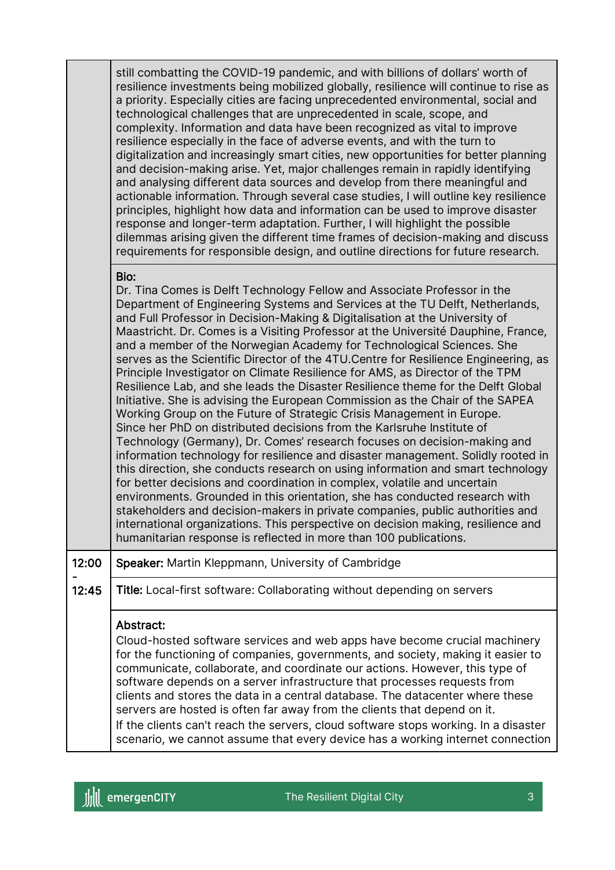| still combatting the COVID-19 pandemic, and with billions of dollars' worth of<br>resilience investments being mobilized globally, resilience will continue to rise as<br>a priority. Especially cities are facing unprecedented environmental, social and<br>technological challenges that are unprecedented in scale, scope, and<br>complexity. Information and data have been recognized as vital to improve<br>resilience especially in the face of adverse events, and with the turn to<br>digitalization and increasingly smart cities, new opportunities for better planning<br>and decision-making arise. Yet, major challenges remain in rapidly identifying<br>and analysing different data sources and develop from there meaningful and<br>actionable information. Through several case studies, I will outline key resilience<br>principles, highlight how data and information can be used to improve disaster<br>response and longer-term adaptation. Further, I will highlight the possible<br>dilemmas arising given the different time frames of decision-making and discuss |
|------------------------------------------------------------------------------------------------------------------------------------------------------------------------------------------------------------------------------------------------------------------------------------------------------------------------------------------------------------------------------------------------------------------------------------------------------------------------------------------------------------------------------------------------------------------------------------------------------------------------------------------------------------------------------------------------------------------------------------------------------------------------------------------------------------------------------------------------------------------------------------------------------------------------------------------------------------------------------------------------------------------------------------------------------------------------------------------------|
| requirements for responsible design, and outline directions for future research.                                                                                                                                                                                                                                                                                                                                                                                                                                                                                                                                                                                                                                                                                                                                                                                                                                                                                                                                                                                                               |

### Bio:

Dr. Tina Comes is Delft Technology Fellow and Associate Professor in the Department of Engineering Systems and Services at the TU Delft, Netherlands, and Full Professor in Decision-Making & Digitalisation at the University of Maastricht. Dr. Comes is a Visiting Professor at the Université Dauphine, France, and a member of the Norwegian Academy for Technological Sciences. She serves as the Scientific Director of the 4TU.Centre for Resilience Engineering, as Principle Investigator on Climate Resilience for AMS, as Director of the TPM Resilience Lab, and she leads the Disaster Resilience theme for the Delft Global Initiative. She is advising the European Commission as the Chair of the SAPEA Working Group on the Future of Strategic Crisis Management in Europe. Since her PhD on distributed decisions from the Karlsruhe Institute of Technology (Germany), Dr. Comes' research focuses on decision-making and information technology for resilience and disaster management. Solidly rooted in this direction, she conducts research on using information and smart technology for better decisions and coordination in complex, volatile and uncertain environments. Grounded in this orientation, she has conducted research with stakeholders and decision-makers in private companies, public authorities and international organizations. This perspective on decision making, resilience and humanitarian response is reflected in more than 100 publications.

#### 12:00 Speaker: Martin Kleppmann, University of Cambridge

- 12:45 Title: Local-first software: Collaborating without depending on servers

### Abstract:

Cloud-hosted software services and web apps have become crucial machinery for the functioning of companies, governments, and society, making it easier to communicate, collaborate, and coordinate our actions. However, this type of software depends on a server infrastructure that processes requests from clients and stores the data in a central database. The datacenter where these servers are hosted is often far away from the clients that depend on it. If the clients can't reach the servers, cloud software stops working. In a disaster

scenario, we cannot assume that every device has a working internet connection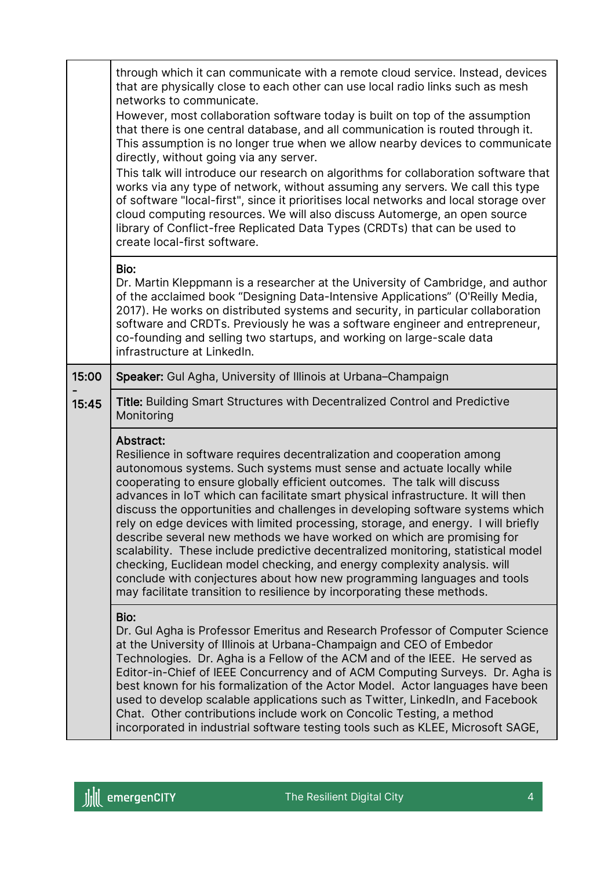|       | through which it can communicate with a remote cloud service. Instead, devices<br>that are physically close to each other can use local radio links such as mesh<br>networks to communicate.<br>However, most collaboration software today is built on top of the assumption<br>that there is one central database, and all communication is routed through it.<br>This assumption is no longer true when we allow nearby devices to communicate<br>directly, without going via any server.<br>This talk will introduce our research on algorithms for collaboration software that<br>works via any type of network, without assuming any servers. We call this type<br>of software "local-first", since it prioritises local networks and local storage over<br>cloud computing resources. We will also discuss Automerge, an open source<br>library of Conflict-free Replicated Data Types (CRDTs) that can be used to<br>create local-first software. |  |
|-------|----------------------------------------------------------------------------------------------------------------------------------------------------------------------------------------------------------------------------------------------------------------------------------------------------------------------------------------------------------------------------------------------------------------------------------------------------------------------------------------------------------------------------------------------------------------------------------------------------------------------------------------------------------------------------------------------------------------------------------------------------------------------------------------------------------------------------------------------------------------------------------------------------------------------------------------------------------|--|
|       | Bio:<br>Dr. Martin Kleppmann is a researcher at the University of Cambridge, and author<br>of the acclaimed book "Designing Data-Intensive Applications" (O'Reilly Media,<br>2017). He works on distributed systems and security, in particular collaboration<br>software and CRDTs. Previously he was a software engineer and entrepreneur,<br>co-founding and selling two startups, and working on large-scale data<br>infrastructure at LinkedIn.                                                                                                                                                                                                                                                                                                                                                                                                                                                                                                     |  |
| 15:00 | Speaker: Gul Agha, University of Illinois at Urbana-Champaign                                                                                                                                                                                                                                                                                                                                                                                                                                                                                                                                                                                                                                                                                                                                                                                                                                                                                            |  |
| 15:45 | <b>Title: Building Smart Structures with Decentralized Control and Predictive</b><br>Monitoring                                                                                                                                                                                                                                                                                                                                                                                                                                                                                                                                                                                                                                                                                                                                                                                                                                                          |  |
|       | <b>Abstract:</b><br>Resilience in software requires decentralization and cooperation among<br>autonomous systems. Such systems must sense and actuate locally while<br>cooperating to ensure globally efficient outcomes. The talk will discuss<br>advances in IoT which can facilitate smart physical infrastructure. It will then<br>discuss the opportunities and challenges in developing software systems which<br>rely on edge devices with limited processing, storage, and energy. I will briefly<br>describe several new methods we have worked on which are promising for<br>scalability. These include predictive decentralized monitoring, statistical model<br>checking, Euclidean model checking, and energy complexity analysis. will<br>conclude with conjectures about how new programming languages and tools<br>may facilitate transition to resilience by incorporating these methods.                                               |  |
|       | Bio:<br>Dr. Gul Agha is Professor Emeritus and Research Professor of Computer Science<br>at the University of Illinois at Urbana-Champaign and CEO of Embedor<br>Technologies. Dr. Agha is a Fellow of the ACM and of the IEEE. He served as<br>Editor-in-Chief of IEEE Concurrency and of ACM Computing Surveys. Dr. Agha is<br>best known for his formalization of the Actor Model. Actor languages have been<br>used to develop scalable applications such as Twitter, LinkedIn, and Facebook<br>Chat. Other contributions include work on Concolic Testing, a method<br>incorporated in industrial software testing tools such as KLEE, Microsoft SAGE,                                                                                                                                                                                                                                                                                              |  |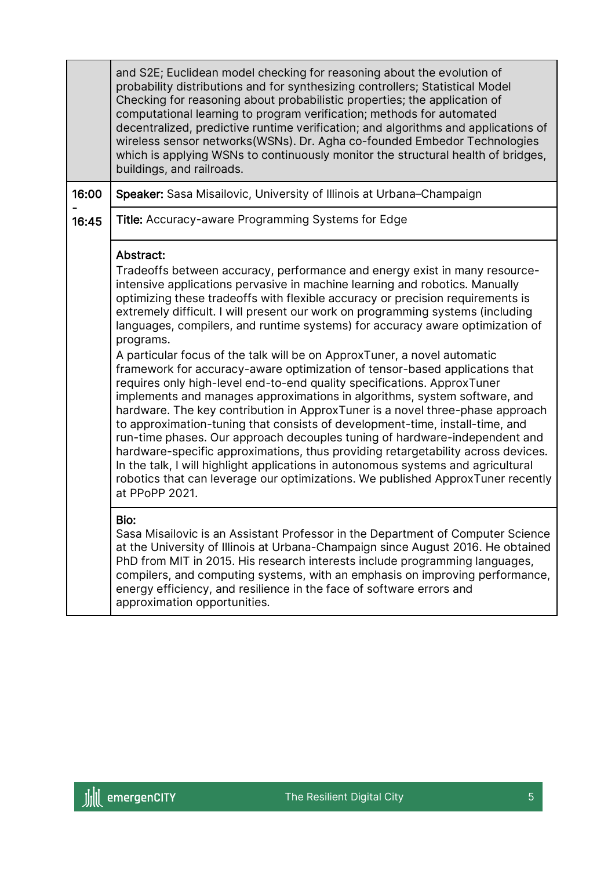|       | and S2E; Euclidean model checking for reasoning about the evolution of<br>probability distributions and for synthesizing controllers; Statistical Model<br>Checking for reasoning about probabilistic properties; the application of<br>computational learning to program verification; methods for automated<br>decentralized, predictive runtime verification; and algorithms and applications of<br>wireless sensor networks(WSNs). Dr. Agha co-founded Embedor Technologies<br>which is applying WSNs to continuously monitor the structural health of bridges,<br>buildings, and railroads.                                                                                                                                                                                                                                                                                                                                                                                                                                                                                                                                                                                                                                                                                         |
|-------|------------------------------------------------------------------------------------------------------------------------------------------------------------------------------------------------------------------------------------------------------------------------------------------------------------------------------------------------------------------------------------------------------------------------------------------------------------------------------------------------------------------------------------------------------------------------------------------------------------------------------------------------------------------------------------------------------------------------------------------------------------------------------------------------------------------------------------------------------------------------------------------------------------------------------------------------------------------------------------------------------------------------------------------------------------------------------------------------------------------------------------------------------------------------------------------------------------------------------------------------------------------------------------------|
| 16:00 | Speaker: Sasa Misailovic, University of Illinois at Urbana-Champaign                                                                                                                                                                                                                                                                                                                                                                                                                                                                                                                                                                                                                                                                                                                                                                                                                                                                                                                                                                                                                                                                                                                                                                                                                     |
| 16:45 | <b>Title:</b> Accuracy-aware Programming Systems for Edge                                                                                                                                                                                                                                                                                                                                                                                                                                                                                                                                                                                                                                                                                                                                                                                                                                                                                                                                                                                                                                                                                                                                                                                                                                |
|       | Abstract:<br>Tradeoffs between accuracy, performance and energy exist in many resource-<br>intensive applications pervasive in machine learning and robotics. Manually<br>optimizing these tradeoffs with flexible accuracy or precision requirements is<br>extremely difficult. I will present our work on programming systems (including<br>languages, compilers, and runtime systems) for accuracy aware optimization of<br>programs.<br>A particular focus of the talk will be on ApproxTuner, a novel automatic<br>framework for accuracy-aware optimization of tensor-based applications that<br>requires only high-level end-to-end quality specifications. ApproxTuner<br>implements and manages approximations in algorithms, system software, and<br>hardware. The key contribution in ApproxTuner is a novel three-phase approach<br>to approximation-tuning that consists of development-time, install-time, and<br>run-time phases. Our approach decouples tuning of hardware-independent and<br>hardware-specific approximations, thus providing retargetability across devices.<br>In the talk, I will highlight applications in autonomous systems and agricultural<br>robotics that can leverage our optimizations. We published ApproxTuner recently<br>at PPoPP 2021. |
|       | Bio:<br>Sasa Misailovic is an Assistant Professor in the Department of Computer Science<br>at the University of Illinois at Urbana-Champaign since August 2016. He obtained<br>PhD from MIT in 2015. His research interests include programming languages,<br>compilers, and computing systems, with an emphasis on improving performance,<br>energy efficiency, and resilience in the face of software errors and<br>approximation opportunities.                                                                                                                                                                                                                                                                                                                                                                                                                                                                                                                                                                                                                                                                                                                                                                                                                                       |